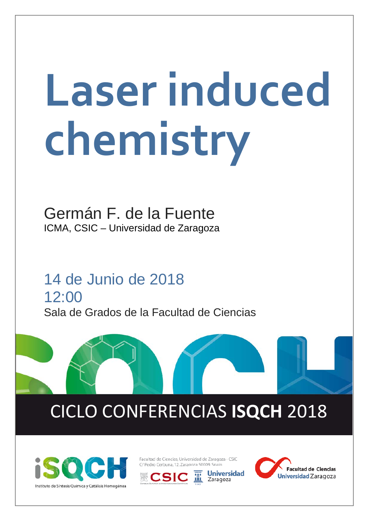## **Laser induced chemistry**

Germán F. de la Fuente ICMA, CSIC – Universidad de Zaragoza

14 de Junio de 2018 12:00 Sala de Grados de la Facultad de Ciencias

## CICLO CONFERENCIAS **ISQCH** 2018



Facultad de Ciencias. Universidad de Zaragoza - CSIC C/ Pedro Cerbuna, 12, Zaragoza 50009, Spain